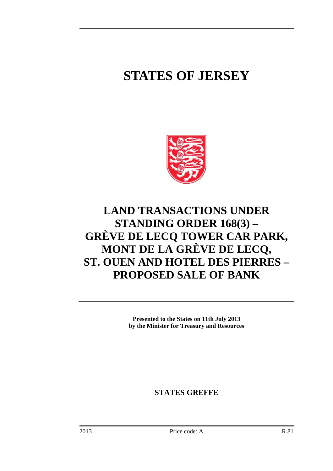# **STATES OF JERSEY**



## **LAND TRANSACTIONS UNDER STANDING ORDER 168(3) – GRÈVE DE LECQ TOWER CAR PARK, MONT DE LA GRÈVE DE LECQ, ST. OUEN AND HOTEL DES PIERRES – PROPOSED SALE OF BANK**

**Presented to the States on 11th July 2013 by the Minister for Treasury and Resources** 

**STATES GREFFE**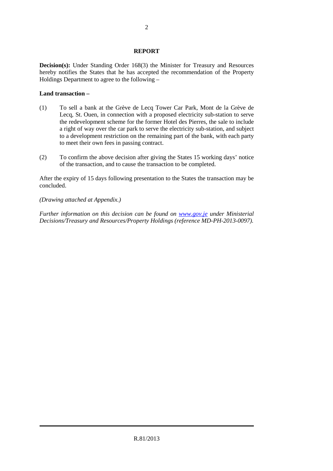### **REPORT**

**Decision(s):** Under Standing Order 168(3) the Minister for Treasury and Resources hereby notifies the States that he has accepted the recommendation of the Property Holdings Department to agree to the following –

### **Land transaction –**

- (1) To sell a bank at the Grève de Lecq Tower Car Park, Mont de la Grève de Lecq, St. Ouen, in connection with a proposed electricity sub-station to serve the redevelopment scheme for the former Hotel des Pierres, the sale to include a right of way over the car park to serve the electricity sub-station, and subject to a development restriction on the remaining part of the bank, with each party to meet their own fees in passing contract.
- (2) To confirm the above decision after giving the States 15 working days' notice of the transaction, and to cause the transaction to be completed.

After the expiry of 15 days following presentation to the States the transaction may be concluded.

#### *(Drawing attached at Appendix.)*

*Further information on this decision can be found on www.gov.je under Ministerial Decisions/Treasury and Resources/Property Holdings (reference MD-PH-2013-0097).*